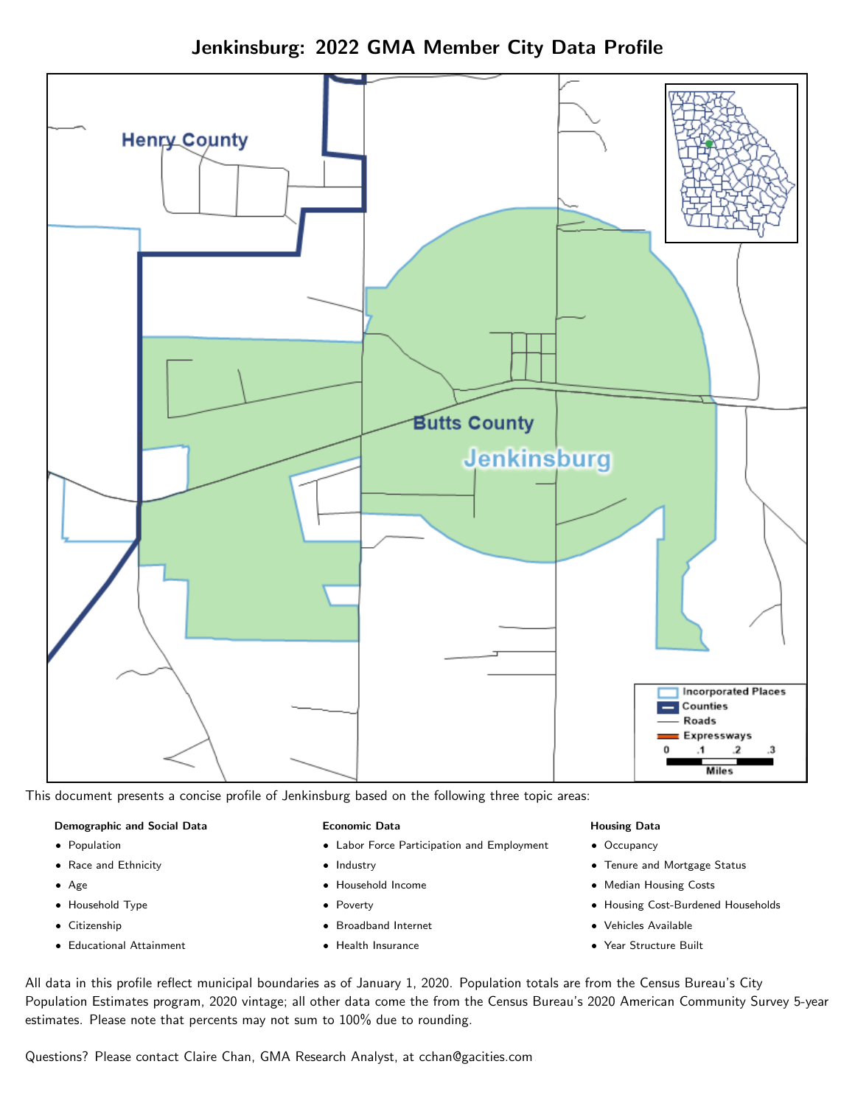# Jenkinsburg: 2022 GMA Member City Data Profile



This document presents a concise profile of Jenkinsburg based on the following three topic areas:

#### Demographic and Social Data

- **•** Population
- Race and Ethnicity
- Age
- Household Type
- **Citizenship**
- Educational Attainment

#### Economic Data

- Labor Force Participation and Employment
- Industry
- Household Income
- Poverty
- Broadband Internet
- Health Insurance

#### Housing Data

- Occupancy
- Tenure and Mortgage Status
- Median Housing Costs
- Housing Cost-Burdened Households
- Vehicles Available
- $\bullet$ Year Structure Built

All data in this profile reflect municipal boundaries as of January 1, 2020. Population totals are from the Census Bureau's City Population Estimates program, 2020 vintage; all other data come the from the Census Bureau's 2020 American Community Survey 5-year estimates. Please note that percents may not sum to 100% due to rounding.

Questions? Please contact Claire Chan, GMA Research Analyst, at [cchan@gacities.com.](mailto:cchan@gacities.com)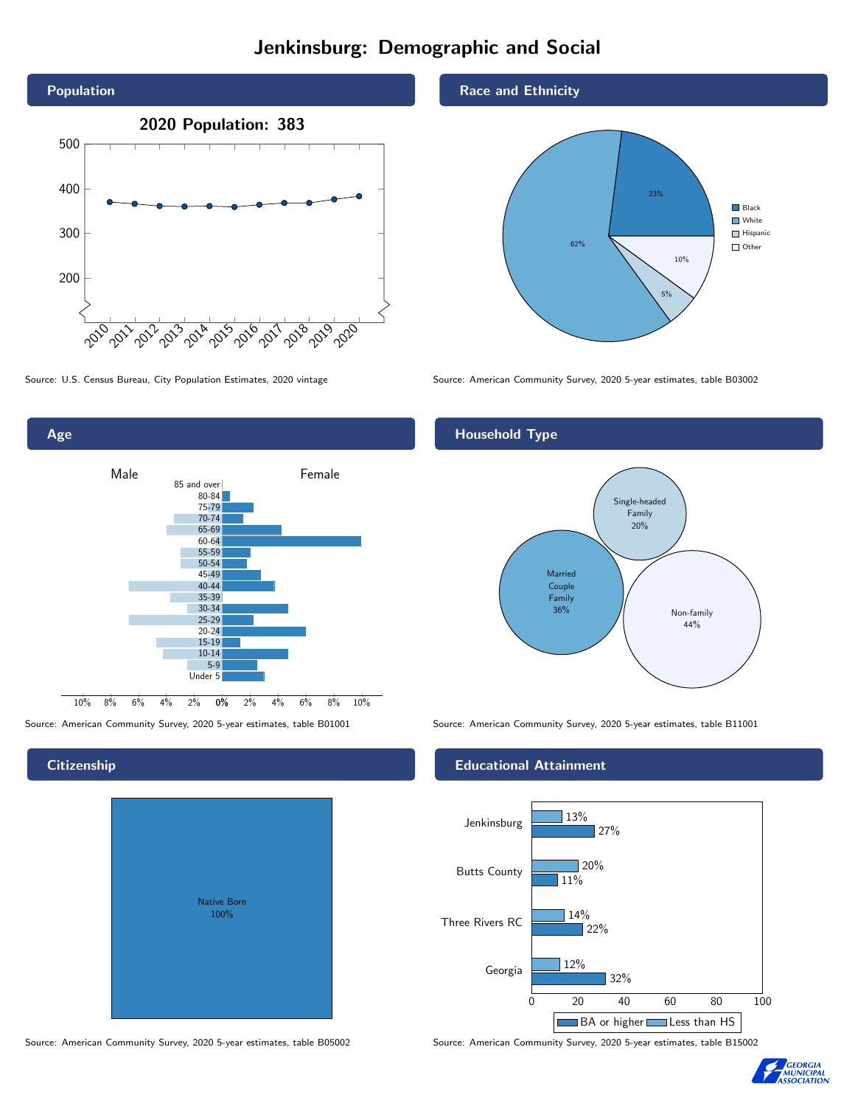# Jenkinsburg: Demographic and Social





Source: American Community Survey, 2020 5-year estimates, table B01001 Source: American Community Survey, 2020 5-year estimates, table B11001

# Native Born 100%

## Race and Ethnicity



Source: U.S. Census Bureau, City Population Estimates, 2020 vintage Source: American Community Survey, 2020 5-year estimates, table B03002

# Household Type



# Educational Attainment



Source: American Community Survey, 2020 5-year estimates, table B05002 Source: American Community Survey, 2020 5-year estimates, table B15002



# **Citizenship**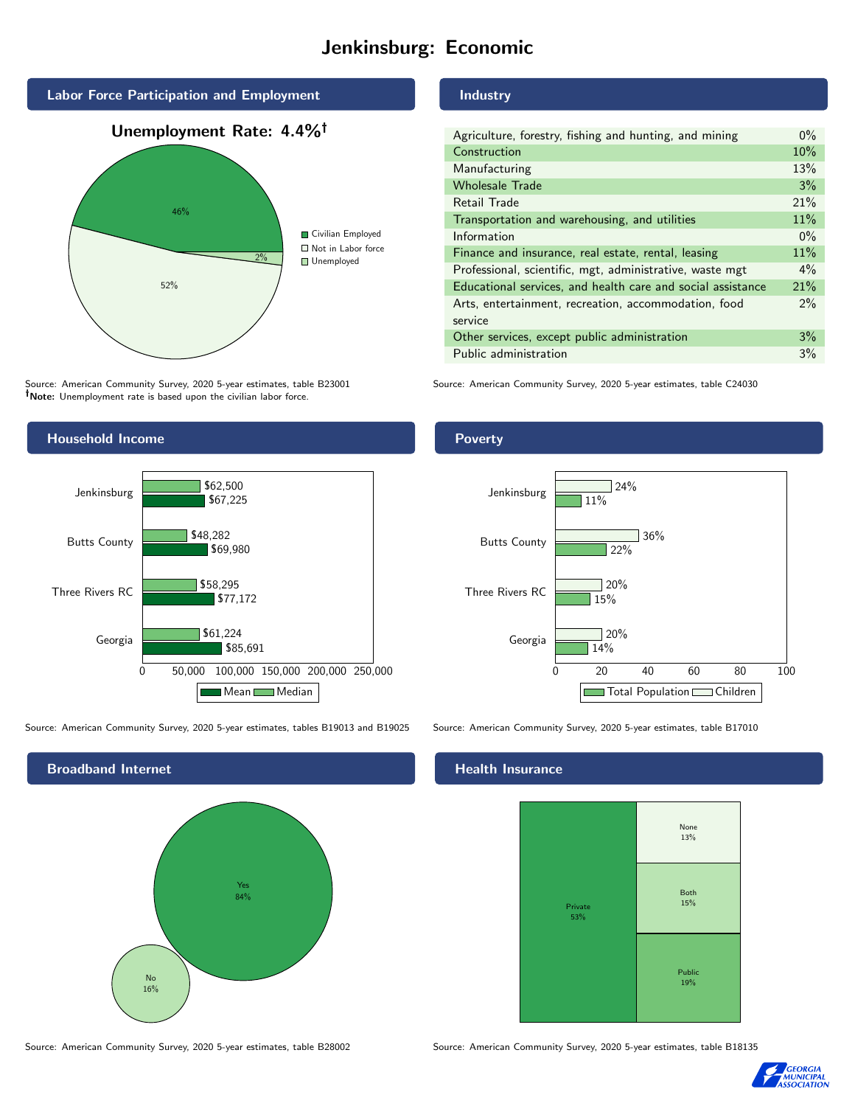# Jenkinsburg: Economic



Source: American Community Survey, 2020 5-year estimates, table B23001 Note: Unemployment rate is based upon the civilian labor force.

# Industry

| Agriculture, forestry, fishing and hunting, and mining      | $0\%$ |
|-------------------------------------------------------------|-------|
| Construction                                                | 10%   |
| Manufacturing                                               | 13%   |
| <b>Wholesale Trade</b>                                      | 3%    |
| Retail Trade                                                | 21%   |
| Transportation and warehousing, and utilities               | 11%   |
| Information                                                 | $0\%$ |
| Finance and insurance, real estate, rental, leasing         | 11%   |
| Professional, scientific, mgt, administrative, waste mgt    | $4\%$ |
| Educational services, and health care and social assistance | 21%   |
| Arts, entertainment, recreation, accommodation, food        | 2%    |
| service                                                     |       |
| Other services, except public administration                | 3%    |
| Public administration                                       | 3%    |
|                                                             |       |

Source: American Community Survey, 2020 5-year estimates, table C24030



Source: American Community Survey, 2020 5-year estimates, tables B19013 and B19025 Source: American Community Survey, 2020 5-year estimates, table B17010



## Health Insurance



Source: American Community Survey, 2020 5-year estimates, table B28002 Source: American Community Survey, 2020 5-year estimates, table B18135



# Poverty